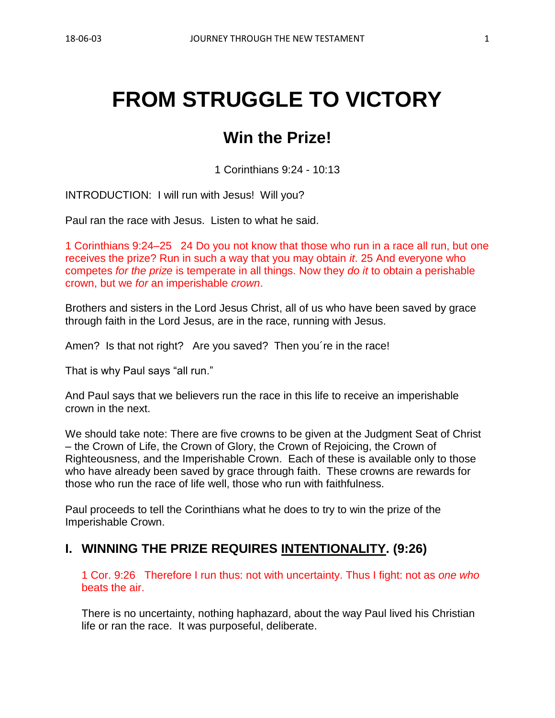# **FROM STRUGGLE TO VICTORY**

## **Win the Prize!**

1 Corinthians 9:24 - 10:13

INTRODUCTION: I will run with Jesus! Will you?

Paul ran the race with Jesus. Listen to what he said.

1 Corinthians 9:24–25 24 Do you not know that those who run in a race all run, but one receives the prize? Run in such a way that you may obtain *it*. 25 And everyone who competes *for the prize* is temperate in all things. Now they *do it* to obtain a perishable crown, but we *for* an imperishable *crown*.

Brothers and sisters in the Lord Jesus Christ, all of us who have been saved by grace through faith in the Lord Jesus, are in the race, running with Jesus.

Amen? Is that not right? Are you saved? Then you 're in the race!

That is why Paul says "all run."

And Paul says that we believers run the race in this life to receive an imperishable crown in the next.

We should take note: There are five crowns to be given at the Judgment Seat of Christ – the Crown of Life, the Crown of Glory, the Crown of Rejoicing, the Crown of Righteousness, and the Imperishable Crown. Each of these is available only to those who have already been saved by grace through faith. These crowns are rewards for those who run the race of life well, those who run with faithfulness.

Paul proceeds to tell the Corinthians what he does to try to win the prize of the Imperishable Crown.

#### **I. WINNING THE PRIZE REQUIRES INTENTIONALITY. (9:26)**

1 Cor. 9:26 Therefore I run thus: not with uncertainty. Thus I fight: not as *one who* beats the air.

There is no uncertainty, nothing haphazard, about the way Paul lived his Christian life or ran the race. It was purposeful, deliberate.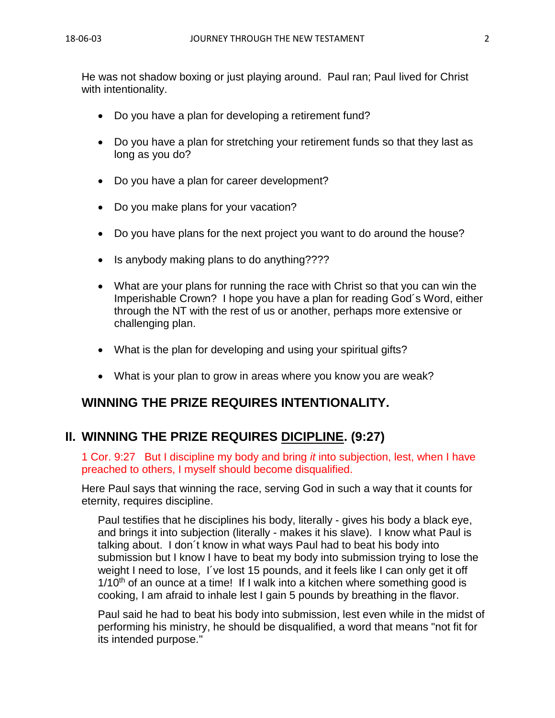He was not shadow boxing or just playing around. Paul ran; Paul lived for Christ with intentionality.

- Do you have a plan for developing a retirement fund?
- Do you have a plan for stretching your retirement funds so that they last as long as you do?
- Do you have a plan for career development?
- Do you make plans for your vacation?
- Do you have plans for the next project you want to do around the house?
- Is anybody making plans to do anything????
- What are your plans for running the race with Christ so that you can win the Imperishable Crown? I hope you have a plan for reading God´s Word, either through the NT with the rest of us or another, perhaps more extensive or challenging plan.
- What is the plan for developing and using your spiritual gifts?
- What is your plan to grow in areas where you know you are weak?

## **WINNING THE PRIZE REQUIRES INTENTIONALITY.**

## **II. WINNING THE PRIZE REQUIRES DICIPLINE. (9:27)**

1 Cor. 9:27 But I discipline my body and bring *it* into subjection, lest, when I have preached to others, I myself should become disqualified.

Here Paul says that winning the race, serving God in such a way that it counts for eternity, requires discipline.

Paul testifies that he disciplines his body, literally - gives his body a black eye, and brings it into subjection (literally - makes it his slave). I know what Paul is talking about. I don´t know in what ways Paul had to beat his body into submission but I know I have to beat my body into submission trying to lose the weight I need to lose, I´ve lost 15 pounds, and it feels like I can only get it off  $1/10<sup>th</sup>$  of an ounce at a time! If I walk into a kitchen where something good is cooking, I am afraid to inhale lest I gain 5 pounds by breathing in the flavor.

Paul said he had to beat his body into submission, lest even while in the midst of performing his ministry, he should be disqualified, a word that means "not fit for its intended purpose."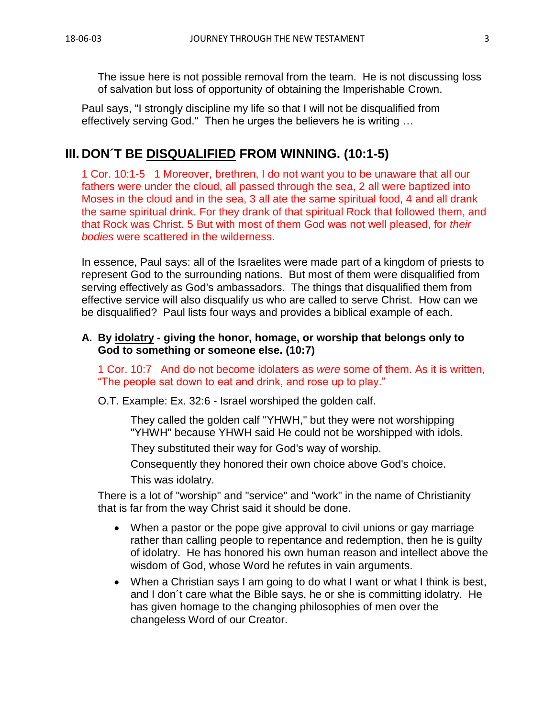The issue here is not possible removal from the team. He is not discussing loss of salvation but loss of opportunity of obtaining the Imperishable Crown.

Paul says, "I strongly discipline my life so that I will not be disqualified from effectively serving God." Then he urges the believers he is writing …

## **III. DON´T BE DISQUALIFIED FROM WINNING. (10:1-5)**

1 Cor. 10:1-5 1 Moreover, brethren, I do not want you to be unaware that all our fathers were under the cloud, all passed through the sea, 2 all were baptized into Moses in the cloud and in the sea, 3 all ate the same spiritual food, 4 and all drank the same spiritual drink. For they drank of that spiritual Rock that followed them, and that Rock was Christ. 5 But with most of them God was not well pleased, for *their bodies* were scattered in the wilderness.

In essence, Paul says: all of the Israelites were made part of a kingdom of priests to represent God to the surrounding nations. But most of them were disqualified from serving effectively as God's ambassadors. The things that disqualified them from effective service will also disqualify us who are called to serve Christ. How can we be disqualified? Paul lists four ways and provides a biblical example of each.

#### **A. By idolatry - giving the honor, homage, or worship that belongs only to God to something or someone else. (10:7)**

1 Cor. 10:7 And do not become idolaters as *were* some of them. As it is written, "The people sat down to eat and drink, and rose up to play."

O.T. Example: Ex. 32:6 - Israel worshiped the golden calf.

They called the golden calf "YHWH," but they were not worshipping "YHWH" because YHWH said He could not be worshipped with idols.

They substituted their way for God's way of worship.

Consequently they honored their own choice above God's choice. This was idolatry.

There is a lot of "worship" and "service" and "work" in the name of Christianity that is far from the way Christ said it should be done.

- When a pastor or the pope give approval to civil unions or gay marriage rather than calling people to repentance and redemption, then he is guilty of idolatry. He has honored his own human reason and intellect above the wisdom of God, whose Word he refutes in vain arguments.
- When a Christian says I am going to do what I want or what I think is best, and I don´t care what the Bible says, he or she is committing idolatry. He has given homage to the changing philosophies of men over the changeless Word of our Creator.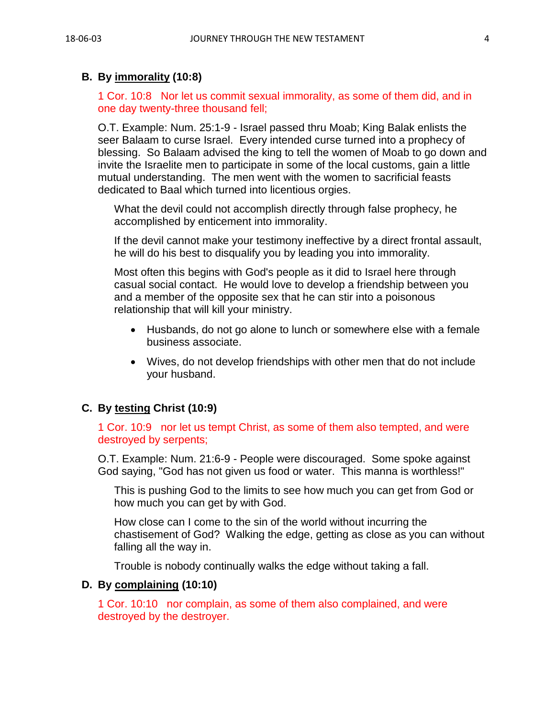#### **B. By immorality (10:8)**

1 Cor. 10:8 Nor let us commit sexual immorality, as some of them did, and in one day twenty-three thousand fell;

O.T. Example: Num. 25:1-9 - Israel passed thru Moab; King Balak enlists the seer Balaam to curse Israel. Every intended curse turned into a prophecy of blessing. So Balaam advised the king to tell the women of Moab to go down and invite the Israelite men to participate in some of the local customs, gain a little mutual understanding. The men went with the women to sacrificial feasts dedicated to Baal which turned into licentious orgies.

What the devil could not accomplish directly through false prophecy, he accomplished by enticement into immorality.

If the devil cannot make your testimony ineffective by a direct frontal assault, he will do his best to disqualify you by leading you into immorality.

Most often this begins with God's people as it did to Israel here through casual social contact. He would love to develop a friendship between you and a member of the opposite sex that he can stir into a poisonous relationship that will kill your ministry.

- Husbands, do not go alone to lunch or somewhere else with a female business associate.
- Wives, do not develop friendships with other men that do not include your husband.

#### **C. By testing Christ (10:9)**

1 Cor. 10:9 nor let us tempt Christ, as some of them also tempted, and were destroyed by serpents;

O.T. Example: Num. 21:6-9 - People were discouraged. Some spoke against God saying, "God has not given us food or water. This manna is worthless!"

This is pushing God to the limits to see how much you can get from God or how much you can get by with God.

How close can I come to the sin of the world without incurring the chastisement of God? Walking the edge, getting as close as you can without falling all the way in.

Trouble is nobody continually walks the edge without taking a fall.

#### **D. By complaining (10:10)**

1 Cor. 10:10 nor complain, as some of them also complained, and were destroyed by the destroyer.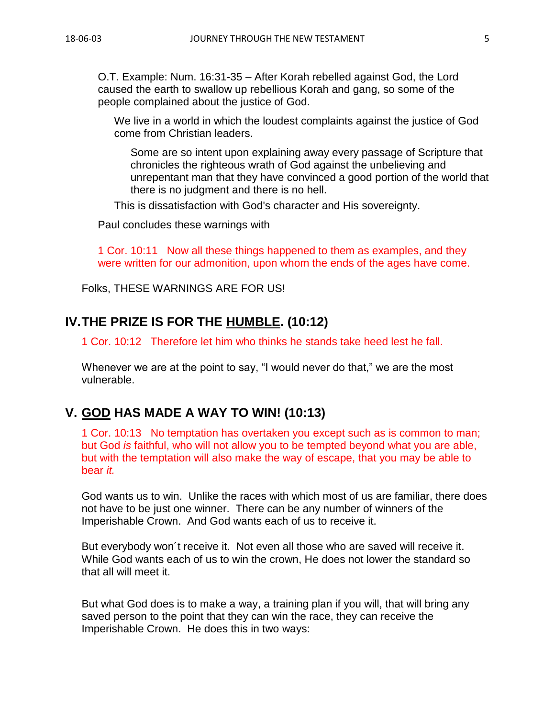O.T. Example: Num. 16:31-35 – After Korah rebelled against God, the Lord caused the earth to swallow up rebellious Korah and gang, so some of the people complained about the justice of God.

We live in a world in which the loudest complaints against the justice of God come from Christian leaders.

Some are so intent upon explaining away every passage of Scripture that chronicles the righteous wrath of God against the unbelieving and unrepentant man that they have convinced a good portion of the world that there is no judgment and there is no hell.

This is dissatisfaction with God's character and His sovereignty.

Paul concludes these warnings with

1 Cor. 10:11 Now all these things happened to them as examples, and they were written for our admonition, upon whom the ends of the ages have come.

Folks, THESE WARNINGS ARE FOR US!

## **IV.THE PRIZE IS FOR THE HUMBLE. (10:12)**

1 Cor. 10:12 Therefore let him who thinks he stands take heed lest he fall.

Whenever we are at the point to say, "I would never do that," we are the most vulnerable.

## **V. GOD HAS MADE A WAY TO WIN! (10:13)**

1 Cor. 10:13 No temptation has overtaken you except such as is common to man; but God *is* faithful, who will not allow you to be tempted beyond what you are able, but with the temptation will also make the way of escape, that you may be able to bear *it.*

God wants us to win. Unlike the races with which most of us are familiar, there does not have to be just one winner. There can be any number of winners of the Imperishable Crown. And God wants each of us to receive it.

But everybody won´t receive it. Not even all those who are saved will receive it. While God wants each of us to win the crown, He does not lower the standard so that all will meet it.

But what God does is to make a way, a training plan if you will, that will bring any saved person to the point that they can win the race, they can receive the Imperishable Crown. He does this in two ways: